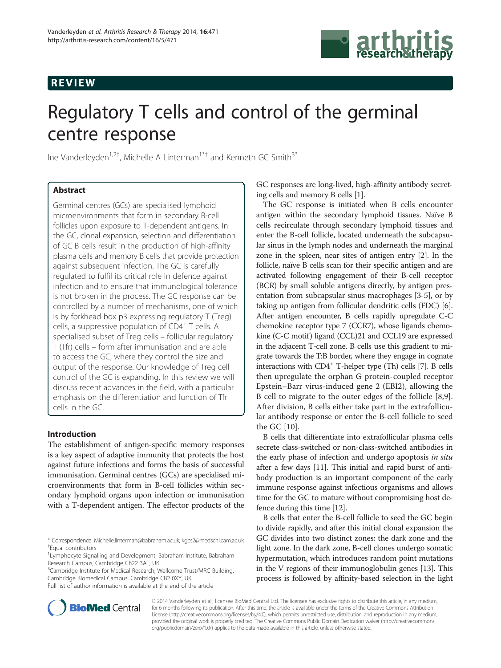# REVIEW



# Regulatory T cells and control of the germinal centre response

Ine Vanderleyden<sup>1,2†</sup>, Michelle A Linterman<sup>1\*†</sup> and Kenneth GC Smith<sup>3\*</sup>

# Abstract

Germinal centres (GCs) are specialised lymphoid microenvironments that form in secondary B-cell follicles upon exposure to T-dependent antigens. In the GC, clonal expansion, selection and differentiation of GC B cells result in the production of high-affinity plasma cells and memory B cells that provide protection against subsequent infection. The GC is carefully regulated to fulfil its critical role in defence against infection and to ensure that immunological tolerance is not broken in the process. The GC response can be controlled by a number of mechanisms, one of which is by forkhead box p3 expressing regulatory T (Treg) cells, a suppressive population of  $CD4^+$  T cells. A specialised subset of Treg cells – follicular regulatory T (Tfr) cells – form after immunisation and are able to access the GC, where they control the size and output of the response. Our knowledge of Treg cell control of the GC is expanding. In this review we will discuss recent advances in the field, with a particular emphasis on the differentiation and function of Tfr cells in the GC.

# Introduction

The establishment of antigen-specific memory responses is a key aspect of adaptive immunity that protects the host against future infections and forms the basis of successful immunisation. Germinal centres (GCs) are specialised microenvironments that form in B-cell follicles within secondary lymphoid organs upon infection or immunisation with a T-dependent antigen. The effector products of the

<sup>3</sup>Cambridge Institute for Medical Research, Wellcome Trust/MRC Building, Cambridge Biomedical Campus, Cambridge CB2 0XY, UK

Full list of author information is available at the end of the article



The GC response is initiated when B cells encounter antigen within the secondary lymphoid tissues. Naïve B cells recirculate through secondary lymphoid tissues and enter the B-cell follicle, located underneath the subcapsular sinus in the lymph nodes and underneath the marginal zone in the spleen, near sites of antigen entry [\[2\]](#page-7-0). In the follicle, naïve B cells scan for their specific antigen and are activated following engagement of their B-cell receptor (BCR) by small soluble antigens directly, by antigen presentation from subcapsular sinus macrophages [\[3-5](#page-7-0)], or by taking up antigen from follicular dendritic cells (FDC) [[6](#page-7-0)]. After antigen encounter, B cells rapidly upregulate C-C chemokine receptor type 7 (CCR7), whose ligands chemokine (C-C motif) ligand (CCL)21 and CCL19 are expressed in the adjacent T-cell zone. B cells use this gradient to migrate towards the T:B border, where they engage in cognate interactions with  $CD4^+$  T-helper type (Th) cells [[7\]](#page-7-0). B cells then upregulate the orphan G protein-coupled receptor Epstein–Barr virus-induced gene 2 (EBI2), allowing the B cell to migrate to the outer edges of the follicle [[8,9](#page-7-0)]. After division, B cells either take part in the extrafollicular antibody response or enter the B-cell follicle to seed the GC [[10\]](#page-7-0).

B cells that differentiate into extrafollicular plasma cells secrete class-switched or non-class-switched antibodies in the early phase of infection and undergo apoptosis in situ after a few days [[11](#page-7-0)]. This initial and rapid burst of antibody production is an important component of the early immune response against infectious organisms and allows time for the GC to mature without compromising host defence during this time [\[12\]](#page-7-0).

B cells that enter the B-cell follicle to seed the GC begin to divide rapidly, and after this initial clonal expansion the GC divides into two distinct zones: the dark zone and the light zone. In the dark zone, B-cell clones undergo somatic hypermutation, which introduces random point mutations in the V regions of their immunoglobulin genes [\[13\]](#page-7-0). This process is followed by affinity-based selection in the light



© 2014 Vanderleyden et al.; licensee BioMed Central Ltd. The licensee has exclusive rights to distribute this article, in any medium, for 6 months following its publication. After this time, the article is available under the terms of the Creative Commons Attribution License (<http://creativecommons.org/licenses/by/4.0>), which permits unrestricted use, distribution, and reproduction in any medium, provided the original work is properly credited. The Creative Commons Public Domain Dedication waiver ([http://creativecommons.](http://creativecommons.org/publicdomain/zero/1.0/) [org/publicdomain/zero/1.0/\)](http://creativecommons.org/publicdomain/zero/1.0/) applies to the data made available in this article, unless otherwise stated.

<sup>\*</sup> Correspondence: [Michelle.linterman@babraham.ac.uk;](mailto:Michelle.linterman@babraham.ac.uk) [kgcs2@medschl.cam.ac.uk](mailto:kgcs2@medschl.cam.ac.uk) † Equal contributors

<sup>&</sup>lt;sup>1</sup> Lymphocyte Signalling and Development, Babraham Institute, Babraham Research Campus, Cambridge CB22 3AT, UK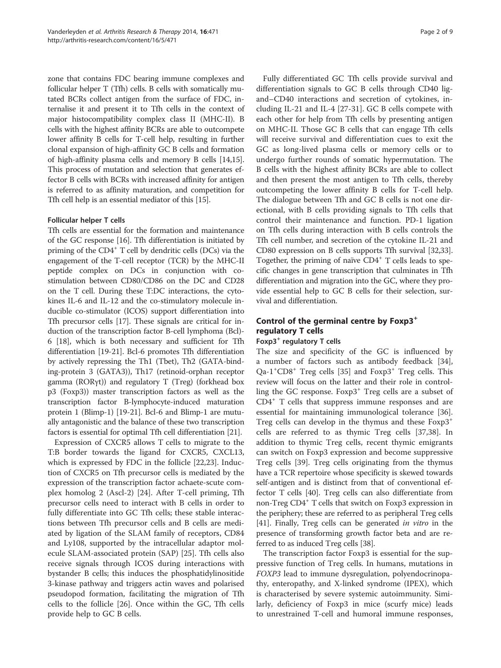zone that contains FDC bearing immune complexes and follicular helper T (Tfh) cells. B cells with somatically mutated BCRs collect antigen from the surface of FDC, internalise it and present it to Tfh cells in the context of major histocompatibility complex class II (MHC-II). B cells with the highest affinity BCRs are able to outcompete lower affinity B cells for T-cell help, resulting in further clonal expansion of high-affinity GC B cells and formation of high-affinity plasma cells and memory B cells [\[14,15](#page-7-0)]. This process of mutation and selection that generates effector B cells with BCRs with increased affinity for antigen is referred to as affinity maturation, and competition for Tfh cell help is an essential mediator of this [[15](#page-7-0)].

## Follicular helper T cells

Tfh cells are essential for the formation and maintenance of the GC response [[16](#page-7-0)]. Tfh differentiation is initiated by priming of the CD4+ T cell by dendritic cells (DCs) via the engagement of the T-cell receptor (TCR) by the MHC-II peptide complex on DCs in conjunction with costimulation between CD80/CD86 on the DC and CD28 on the T cell. During these T:DC interactions, the cytokines IL-6 and IL-12 and the co-stimulatory molecule inducible co-stimulator (ICOS) support differentiation into Tfh precursor cells [[17](#page-7-0)]. These signals are critical for induction of the transcription factor B-cell lymphoma (Bcl)- 6 [\[18\]](#page-7-0), which is both necessary and sufficient for Tfh differentiation [[19](#page-7-0)-[21](#page-7-0)]. Bcl-6 promotes Tfh differentiation by actively repressing the Th1 (Tbet), Th2 (GATA-binding-protein 3 (GATA3)), Th17 (retinoid-orphan receptor gamma (RORγt)) and regulatory T (Treg) (forkhead box p3 (Foxp3)) master transcription factors as well as the transcription factor B-lymphocyte-induced maturation protein 1 (Blimp-1) [\[19](#page-7-0)-[21](#page-7-0)]. Bcl-6 and Blimp-1 are mutually antagonistic and the balance of these two transcription factors is essential for optimal Tfh cell differentiation [\[21\]](#page-7-0).

Expression of CXCR5 allows T cells to migrate to the T:B border towards the ligand for CXCR5, CXCL13, which is expressed by FDC in the follicle [\[22,23\]](#page-7-0). Induction of CXCR5 on Tfh precursor cells is mediated by the expression of the transcription factor achaete-scute complex homolog 2 (Ascl-2) [\[24](#page-7-0)]. After T-cell priming, Tfh precursor cells need to interact with B cells in order to fully differentiate into GC Tfh cells; these stable interactions between Tfh precursor cells and B cells are mediated by ligation of the SLAM family of receptors, CD84 and Ly108, supported by the intracellular adaptor molecule SLAM-associated protein (SAP) [\[25](#page-7-0)]. Tfh cells also receive signals through ICOS during interactions with bystander B cells; this induces the phosphatidylinositide 3-kinase pathway and triggers actin waves and polarised pseudopod formation, facilitating the migration of Tfh cells to the follicle [\[26\]](#page-7-0). Once within the GC, Tfh cells provide help to GC B cells.

Fully differentiated GC Tfh cells provide survival and differentiation signals to GC B cells through CD40 ligand–CD40 interactions and secretion of cytokines, including IL-21 and IL-4 [[27](#page-7-0)-[31\]](#page-7-0). GC B cells compete with each other for help from Tfh cells by presenting antigen on MHC-II. Those GC B cells that can engage Tfh cells will receive survival and differentiation cues to exit the GC as long-lived plasma cells or memory cells or to undergo further rounds of somatic hypermutation. The B cells with the highest affinity BCRs are able to collect and then present the most antigen to Tfh cells, thereby outcompeting the lower affinity B cells for T-cell help. The dialogue between Tfh and GC B cells is not one directional, with B cells providing signals to Tfh cells that control their maintenance and function. PD-1 ligation on Tfh cells during interaction with B cells controls the Tfh cell number, and secretion of the cytokine IL-21 and CD80 expression on B cells supports Tfh survival [\[32,33](#page-7-0)]. Together, the priming of naïve  $CD4^+$  T cells leads to specific changes in gene transcription that culminates in Tfh differentiation and migration into the GC, where they provide essential help to GC B cells for their selection, survival and differentiation.

# Control of the germinal centre by  $Foxp3$ <sup>+</sup> regulatory T cells

## Foxp3<sup>+</sup> regulatory T cells

The size and specificity of the GC is influenced by a number of factors such as antibody feedback [\[34](#page-7-0)], Qa-1<sup>+</sup> CD8<sup>+</sup> Treg cells [\[35](#page-7-0)] and Foxp3<sup>+</sup> Treg cells. This review will focus on the latter and their role in controlling the GC response. Foxp3<sup>+</sup> Treg cells are a subset of CD4<sup>+</sup> T cells that suppress immune responses and are essential for maintaining immunological tolerance [\[36](#page-7-0)]. Treg cells can develop in the thymus and these Foxp3<sup>+</sup> cells are referred to as thymic Treg cells [\[37,38\]](#page-7-0). In addition to thymic Treg cells, recent thymic emigrants can switch on Foxp3 expression and become suppressive Treg cells [\[39](#page-7-0)]. Treg cells originating from the thymus have a TCR repertoire whose specificity is skewed towards self-antigen and is distinct from that of conventional effector T cells [\[40\]](#page-7-0). Treg cells can also differentiate from non-Treg CD4<sup>+</sup> T cells that switch on Foxp3 expression in the periphery; these are referred to as peripheral Treg cells [[41](#page-8-0)]. Finally, Treg cells can be generated *in vitro* in the presence of transforming growth factor beta and are referred to as induced Treg cells [\[38](#page-7-0)].

The transcription factor Foxp3 is essential for the suppressive function of Treg cells. In humans, mutations in FOXP3 lead to immune dysregulation, polyendocrinopathy, enteropathy, and X-linked syndrome (IPEX), which is characterised by severe systemic autoimmunity. Similarly, deficiency of Foxp3 in mice (scurfy mice) leads to unrestrained T-cell and humoral immune responses,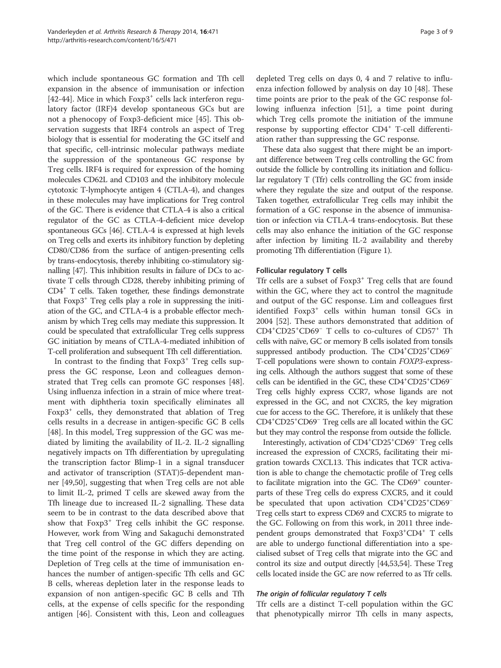which include spontaneous GC formation and Tfh cell expansion in the absence of immunisation or infection [[42-44](#page-8-0)]. Mice in which Foxp3<sup>+</sup> cells lack interferon regulatory factor (IRF)4 develop spontaneous GCs but are not a phenocopy of Foxp3-deficient mice [\[45\]](#page-8-0). This observation suggests that IRF4 controls an aspect of Treg biology that is essential for moderating the GC itself and that specific, cell-intrinsic molecular pathways mediate the suppression of the spontaneous GC response by Treg cells. IRF4 is required for expression of the homing molecules CD62L and CD103 and the inhibitory molecule cytotoxic T-lymphocyte antigen 4 (CTLA-4), and changes in these molecules may have implications for Treg control of the GC. There is evidence that CTLA-4 is also a critical regulator of the GC as CTLA-4-deficient mice develop spontaneous GCs [[46](#page-8-0)]. CTLA-4 is expressed at high levels on Treg cells and exerts its inhibitory function by depleting CD80/CD86 from the surface of antigen-presenting cells by trans-endocytosis, thereby inhibiting co-stimulatory signalling [\[47\]](#page-8-0). This inhibition results in failure of DCs to activate T cells through CD28, thereby inhibiting priming of CD4+ T cells. Taken together, these findings demonstrate that Foxp3+ Treg cells play a role in suppressing the initiation of the GC, and CTLA-4 is a probable effector mechanism by which Treg cells may mediate this suppression. It could be speculated that extrafollicular Treg cells suppress GC initiation by means of CTLA-4-mediated inhibition of T-cell proliferation and subsequent Tfh cell differentiation.

In contrast to the finding that  $F\alpha p3^+$  Treg cells suppress the GC response, Leon and colleagues demonstrated that Treg cells can promote GC responses [\[48](#page-8-0)]. Using influenza infection in a strain of mice where treatment with diphtheria toxin specifically eliminates all Foxp $3^+$  cells, they demonstrated that ablation of Treg cells results in a decrease in antigen-specific GC B cells [[48\]](#page-8-0). In this model, Treg suppression of the GC was mediated by limiting the availability of IL-2. IL-2 signalling negatively impacts on Tfh differentiation by upregulating the transcription factor Blimp-1 in a signal transducer and activator of transcription (STAT)5-dependent manner [[49,50](#page-8-0)], suggesting that when Treg cells are not able to limit IL-2, primed T cells are skewed away from the Tfh lineage due to increased IL-2 signalling. These data seem to be in contrast to the data described above that show that  $F\alpha p3^+$  Treg cells inhibit the GC response. However, work from Wing and Sakaguchi demonstrated that Treg cell control of the GC differs depending on the time point of the response in which they are acting. Depletion of Treg cells at the time of immunisation enhances the number of antigen-specific Tfh cells and GC B cells, whereas depletion later in the response leads to expansion of non antigen-specific GC B cells and Tfh cells, at the expense of cells specific for the responding antigen [\[46](#page-8-0)]. Consistent with this, Leon and colleagues

depleted Treg cells on days 0, 4 and 7 relative to influenza infection followed by analysis on day 10 [\[48\]](#page-8-0). These time points are prior to the peak of the GC response following influenza infection [\[51](#page-8-0)], a time point during which Treg cells promote the initiation of the immune response by supporting effector  $CD4^+$  T-cell differentiation rather than suppressing the GC response.

These data also suggest that there might be an important difference between Treg cells controlling the GC from outside the follicle by controlling its initiation and follicular regulatory T (Tfr) cells controlling the GC from inside where they regulate the size and output of the response. Taken together, extrafollicular Treg cells may inhibit the formation of a GC response in the absence of immunisation or infection via CTLA-4 trans-endocytosis. But these cells may also enhance the initiation of the GC response after infection by limiting IL-2 availability and thereby promoting Tfh differentiation (Figure [1\)](#page-3-0).

#### Follicular regulatory T cells

Tfr cells are a subset of Foxp3<sup>+</sup> Treg cells that are found within the GC, where they act to control the magnitude and output of the GC response. Lim and colleagues first identified Foxp3<sup>+</sup> cells within human tonsil GCs in 2004 [\[52](#page-8-0)]. These authors demonstrated that addition of CD4<sup>+</sup> CD25<sup>+</sup> CD69<sup>−</sup> T cells to co-cultures of CD57<sup>+</sup> Th cells with naïve, GC or memory B cells isolated from tonsils suppressed antibody production. The CD4<sup>+</sup>CD25<sup>+</sup>CD69<sup>-</sup> T-cell populations were shown to contain FOXP3-expressing cells. Although the authors suggest that some of these cells can be identified in the GC, these CD4<sup>+</sup>CD25<sup>+</sup>CD69<sup>-</sup> Treg cells highly express CCR7, whose ligands are not expressed in the GC, and not CXCR5, the key migration cue for access to the GC. Therefore, it is unlikely that these CD4+ CD25+ CD69<sup>−</sup> Treg cells are all located within the GC but they may control the response from outside the follicle.

Interestingly, activation of CD4<sup>+</sup>CD25<sup>+</sup>CD69<sup>-</sup> Treg cells increased the expression of CXCR5, facilitating their migration towards CXCL13. This indicates that TCR activation is able to change the chemotactic profile of Treg cells to facilitate migration into the GC. The  $CD69<sup>+</sup>$  counterparts of these Treg cells do express CXCR5, and it could be speculated that upon activation CD4<sup>+</sup>CD25<sup>+</sup>CD69<sup>-</sup> Treg cells start to express CD69 and CXCR5 to migrate to the GC. Following on from this work, in 2011 three independent groups demonstrated that Foxp3<sup>+</sup>CD4<sup>+</sup> T cells are able to undergo functional differentiation into a specialised subset of Treg cells that migrate into the GC and control its size and output directly [[44,53,54](#page-8-0)]. These Treg cells located inside the GC are now referred to as Tfr cells.

#### The origin of follicular regulatory T cells

Tfr cells are a distinct T-cell population within the GC that phenotypically mirror Tfh cells in many aspects,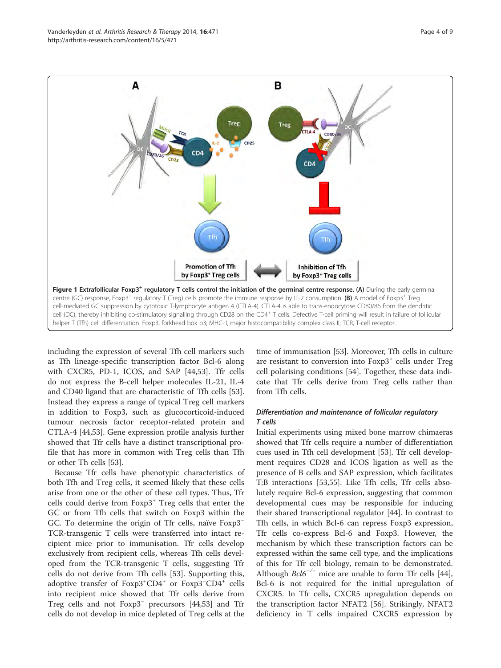<span id="page-3-0"></span>

including the expression of several Tfh cell markers such as Tfh lineage-specific transcription factor Bcl-6 along with CXCR5, PD-1, ICOS, and SAP [[44,53\]](#page-8-0). Tfr cells do not express the B-cell helper molecules IL-21, IL-4 and CD40 ligand that are characteristic of Tfh cells [\[53](#page-8-0)]. Instead they express a range of typical Treg cell markers in addition to Foxp3, such as glucocorticoid-induced tumour necrosis factor receptor-related protein and CTLA-4 [[44](#page-8-0),[53](#page-8-0)]. Gene expression profile analysis further showed that Tfr cells have a distinct transcriptional profile that has more in common with Treg cells than Tfh or other Th cells [[53](#page-8-0)].

Because Tfr cells have phenotypic characteristics of both Tfh and Treg cells, it seemed likely that these cells arise from one or the other of these cell types. Thus, Tfr cells could derive from Foxp3<sup>+</sup> Treg cells that enter the GC or from Tfh cells that switch on Foxp3 within the GC. To determine the origin of Tfr cells, naïve Foxp3<sup>−</sup> TCR-transgenic T cells were transferred into intact recipient mice prior to immunisation. Tfr cells develop exclusively from recipient cells, whereas Tfh cells developed from the TCR-transgenic T cells, suggesting Tfr cells do not derive from Tfh cells [\[53\]](#page-8-0). Supporting this, adoptive transfer of Foxp3<sup>+</sup>CD4<sup>+</sup> or Foxp3<sup>-</sup>CD4<sup>+</sup> cells into recipient mice showed that Tfr cells derive from Treg cells and not Foxp3<sup>−</sup> precursors [\[44,53\]](#page-8-0) and Tfr cells do not develop in mice depleted of Treg cells at the time of immunisation [\[53](#page-8-0)]. Moreover, Tfh cells in culture are resistant to conversion into Foxp3<sup>+</sup> cells under Treg cell polarising conditions [\[54\]](#page-8-0). Together, these data indicate that Tfr cells derive from Treg cells rather than from Tfh cells.

# Differentiation and maintenance of follicular regulatory T cells

Initial experiments using mixed bone marrow chimaeras showed that Tfr cells require a number of differentiation cues used in Tfh cell development [\[53](#page-8-0)]. Tfr cell development requires CD28 and ICOS ligation as well as the presence of B cells and SAP expression, which facilitates T:B interactions [[53](#page-8-0),[55](#page-8-0)]. Like Tfh cells, Tfr cells absolutely require Bcl-6 expression, suggesting that common developmental cues may be responsible for inducing their shared transcriptional regulator [\[44](#page-8-0)]. In contrast to Tfh cells, in which Bcl-6 can repress Foxp3 expression, Tfr cells co-express Bcl-6 and Foxp3. However, the mechanism by which these transcription factors can be expressed within the same cell type, and the implications of this for Tfr cell biology, remain to be demonstrated. Although  $Bcl6^{-/-}$  mice are unable to form Tfr cells [\[44](#page-8-0)], Bcl-6 is not required for the initial upregulation of CXCR5. In Tfr cells, CXCR5 upregulation depends on the transcription factor NFAT2 [[56\]](#page-8-0). Strikingly, NFAT2 deficiency in T cells impaired CXCR5 expression by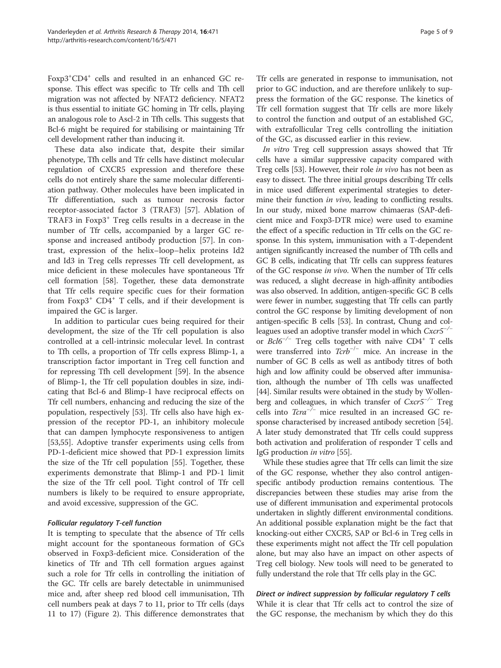Foxp3<sup>+</sup>CD4<sup>+</sup> cells and resulted in an enhanced GC response. This effect was specific to Tfr cells and Tfh cell migration was not affected by NFAT2 deficiency. NFAT2 is thus essential to initiate GC homing in Tfr cells, playing an analogous role to Ascl-2 in Tfh cells. This suggests that Bcl-6 might be required for stabilising or maintaining Tfr cell development rather than inducing it.

These data also indicate that, despite their similar phenotype, Tfh cells and Tfr cells have distinct molecular regulation of CXCR5 expression and therefore these cells do not entirely share the same molecular differentiation pathway. Other molecules have been implicated in Tfr differentiation, such as tumour necrosis factor receptor-associated factor 3 (TRAF3) [[57](#page-8-0)]. Ablation of TRAF3 in Foxp3<sup>+</sup> Treg cells results in a decrease in the number of Tfr cells, accompanied by a larger GC response and increased antibody production [[57](#page-8-0)]. In contrast, expression of the helix–loop–helix proteins Id2 and Id3 in Treg cells represses Tfr cell development, as mice deficient in these molecules have spontaneous Tfr cell formation [\[58](#page-8-0)]. Together, these data demonstrate that Tfr cells require specific cues for their formation from  $F\alpha p3^+$  CD4<sup>+</sup> T cells, and if their development is impaired the GC is larger.

In addition to particular cues being required for their development, the size of the Tfr cell population is also controlled at a cell-intrinsic molecular level. In contrast to Tfh cells, a proportion of Tfr cells express Blimp-1, a transcription factor important in Treg cell function and for repressing Tfh cell development [\[59](#page-8-0)]. In the absence of Blimp-1, the Tfr cell population doubles in size, indicating that Bcl-6 and Blimp-1 have reciprocal effects on Tfr cell numbers, enhancing and reducing the size of the population, respectively [\[53](#page-8-0)]. Tfr cells also have high expression of the receptor PD-1, an inhibitory molecule that can dampen lymphocyte responsiveness to antigen [[53,55\]](#page-8-0). Adoptive transfer experiments using cells from PD-1-deficient mice showed that PD-1 expression limits the size of the Tfr cell population [\[55](#page-8-0)]. Together, these experiments demonstrate that Blimp-1 and PD-1 limit the size of the Tfr cell pool. Tight control of Tfr cell numbers is likely to be required to ensure appropriate, and avoid excessive, suppression of the GC.

## Follicular regulatory T-cell function

It is tempting to speculate that the absence of Tfr cells might account for the spontaneous formation of GCs observed in Foxp3-deficient mice. Consideration of the kinetics of Tfr and Tfh cell formation argues against such a role for Tfr cells in controlling the initiation of the GC. Tfr cells are barely detectable in unimmunised mice and, after sheep red blood cell immunisation, Tfh cell numbers peak at days 7 to 11, prior to Tfr cells (days 11 to 17) (Figure [2\)](#page-5-0). This difference demonstrates that Tfr cells are generated in response to immunisation, not prior to GC induction, and are therefore unlikely to suppress the formation of the GC response. The kinetics of Tfr cell formation suggest that Tfr cells are more likely to control the function and output of an established GC, with extrafollicular Treg cells controlling the initiation of the GC, as discussed earlier in this review.

In vitro Treg cell suppression assays showed that Tfr cells have a similar suppressive capacity compared with Treg cells [[53](#page-8-0)]. However, their role in vivo has not been as easy to dissect. The three initial groups describing Tfr cells in mice used different experimental strategies to determine their function *in vivo*, leading to conflicting results. In our study, mixed bone marrow chimaeras (SAP-deficient mice and Foxp3-DTR mice) were used to examine the effect of a specific reduction in Tfr cells on the GC response. In this system, immunisation with a T-dependent antigen significantly increased the number of Tfh cells and GC B cells, indicating that Tfr cells can suppress features of the GC response in vivo. When the number of Tfr cells was reduced, a slight decrease in high-affinity antibodies was also observed. In addition, antigen-specific GC B cells were fewer in number, suggesting that Tfr cells can partly control the GC response by limiting development of non antigen-specific B cells [[53](#page-8-0)]. In contrast, Chung and colleagues used an adoptive transfer model in which Cxcr5−/<sup>−</sup> or Bcl6−/<sup>−</sup> Treg cells together with naïve CD4+ T cells were transferred into Tcrb<sup>-/-</sup> mice. An increase in the number of GC B cells as well as antibody titres of both high and low affinity could be observed after immunisation, although the number of Tfh cells was unaffected [[44](#page-8-0)]. Similar results were obtained in the study by Wollenberg and colleagues, in which transfer of  $Cxcr5^{-/-}$  Treg cells into  $Tcra^{-/-}$  mice resulted in an increased GC response characterised by increased antibody secretion [[54](#page-8-0)]. A later study demonstrated that Tfr cells could suppress both activation and proliferation of responder T cells and IgG production in vitro [[55](#page-8-0)].

While these studies agree that Tfr cells can limit the size of the GC response, whether they also control antigenspecific antibody production remains contentious. The discrepancies between these studies may arise from the use of different immunisation and experimental protocols undertaken in slightly different environmental conditions. An additional possible explanation might be the fact that knocking-out either CXCR5, SAP or Bcl-6 in Treg cells in these experiments might not affect the Tfr cell population alone, but may also have an impact on other aspects of Treg cell biology. New tools will need to be generated to fully understand the role that Tfr cells play in the GC.

## Direct or indirect suppression by follicular regulatory T cells

While it is clear that Tfr cells act to control the size of the GC response, the mechanism by which they do this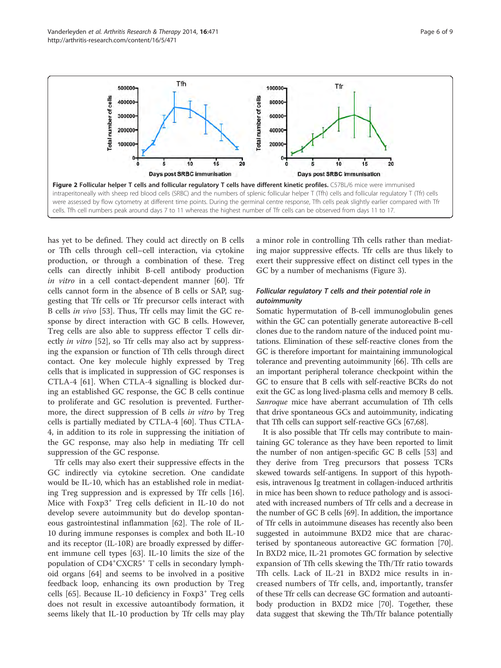<span id="page-5-0"></span>

has yet to be defined. They could act directly on B cells or Tfh cells through cell–cell interaction, via cytokine production, or through a combination of these. Treg cells can directly inhibit B-cell antibody production in vitro in a cell contact-dependent manner [[60](#page-8-0)]. Tfr cells cannot form in the absence of B cells or SAP, suggesting that Tfr cells or Tfr precursor cells interact with B cells in vivo [\[53](#page-8-0)]. Thus, Tfr cells may limit the GC response by direct interaction with GC B cells. However, Treg cells are also able to suppress effector T cells dir-ectly in vitro [[52\]](#page-8-0), so Tfr cells may also act by suppressing the expansion or function of Tfh cells through direct contact. One key molecule highly expressed by Treg cells that is implicated in suppression of GC responses is CTLA-4 [\[61](#page-8-0)]. When CTLA-4 signalling is blocked during an established GC response, the GC B cells continue to proliferate and GC resolution is prevented. Furthermore, the direct suppression of B cells in vitro by Treg cells is partially mediated by CTLA-4 [\[60](#page-8-0)]. Thus CTLA-4, in addition to its role in suppressing the initiation of the GC response, may also help in mediating Tfr cell suppression of the GC response.

Tfr cells may also exert their suppressive effects in the GC indirectly via cytokine secretion. One candidate would be IL-10, which has an established role in mediating Treg suppression and is expressed by Tfr cells [\[16](#page-7-0)]. Mice with Foxp3<sup>+</sup> Treg cells deficient in IL-10 do not develop severe autoimmunity but do develop spontaneous gastrointestinal inflammation [\[62](#page-8-0)]. The role of IL-10 during immune responses is complex and both IL-10 and its receptor (IL-10R) are broadly expressed by different immune cell types [[63\]](#page-8-0). IL-10 limits the size of the population of CD4<sup>+</sup>CXCR5<sup>+</sup> T cells in secondary lymphoid organs [\[64](#page-8-0)] and seems to be involved in a positive feedback loop, enhancing its own production by Treg cells  $[65]$ . Because IL-10 deficiency in Foxp $3^+$  Treg cells does not result in excessive autoantibody formation, it seems likely that IL-10 production by Tfr cells may play

a minor role in controlling Tfh cells rather than mediating major suppressive effects. Tfr cells are thus likely to exert their suppressive effect on distinct cell types in the GC by a number of mechanisms (Figure [3\)](#page-6-0).

## Follicular regulatory T cells and their potential role in autoimmunity

Somatic hypermutation of B-cell immunoglobulin genes within the GC can potentially generate autoreactive B-cell clones due to the random nature of the induced point mutations. Elimination of these self-reactive clones from the GC is therefore important for maintaining immunological tolerance and preventing autoimmunity [[66\]](#page-8-0). Tfh cells are an important peripheral tolerance checkpoint within the GC to ensure that B cells with self-reactive BCRs do not exit the GC as long lived-plasma cells and memory B cells. Sanroque mice have aberrant accumulation of Tfh cells that drive spontaneous GCs and autoimmunity, indicating that Tfh cells can support self-reactive GCs [\[67,68](#page-8-0)].

It is also possible that Tfr cells may contribute to maintaining GC tolerance as they have been reported to limit the number of non antigen-specific GC B cells [\[53\]](#page-8-0) and they derive from Treg precursors that possess TCRs skewed towards self-antigens. In support of this hypothesis, intravenous Ig treatment in collagen-induced arthritis in mice has been shown to reduce pathology and is associated with increased numbers of Tfr cells and a decrease in the number of GC B cells [\[69\]](#page-8-0). In addition, the importance of Tfr cells in autoimmune diseases has recently also been suggested in autoimmune BXD2 mice that are characterised by spontaneous autoreactive GC formation [[70](#page-8-0)]. In BXD2 mice, IL-21 promotes GC formation by selective expansion of Tfh cells skewing the Tfh/Tfr ratio towards Tfh cells. Lack of IL-21 in BXD2 mice results in increased numbers of Tfr cells, and, importantly, transfer of these Tfr cells can decrease GC formation and autoantibody production in BXD2 mice [\[70\]](#page-8-0). Together, these data suggest that skewing the Tfh/Tfr balance potentially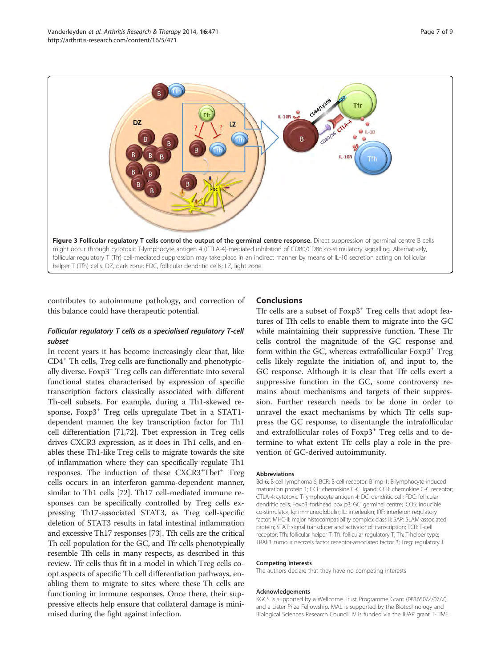<span id="page-6-0"></span>

contributes to autoimmune pathology, and correction of this balance could have therapeutic potential.

# Follicular regulatory T cells as a specialised regulatory T-cell subset

In recent years it has become increasingly clear that, like CD4+ Th cells, Treg cells are functionally and phenotypically diverse. Foxp3+ Treg cells can differentiate into several functional states characterised by expression of specific transcription factors classically associated with different Th-cell subsets. For example, during a Th1-skewed response, Foxp3<sup>+</sup> Treg cells upregulate Tbet in a STAT1dependent manner, the key transcription factor for Th1 cell differentiation [\[71,72](#page-8-0)]. Tbet expression in Treg cells drives CXCR3 expression, as it does in Th1 cells, and enables these Th1-like Treg cells to migrate towards the site of inflammation where they can specifically regulate Th1 responses. The induction of these CXCR3<sup>+</sup>Tbet<sup>+</sup> Treg cells occurs in an interferon gamma-dependent manner, similar to Th1 cells [\[72\]](#page-8-0). Th17 cell-mediated immune responses can be specifically controlled by Treg cells expressing Th17-associated STAT3, as Treg cell-specific deletion of STAT3 results in fatal intestinal inflammation and excessive Th17 responses [\[73\]](#page-8-0). Tfh cells are the critical Th cell population for the GC, and Tfr cells phenotypically resemble Tfh cells in many respects, as described in this review. Tfr cells thus fit in a model in which Treg cells coopt aspects of specific Th cell differentiation pathways, enabling them to migrate to sites where these Th cells are functioning in immune responses. Once there, their suppressive effects help ensure that collateral damage is minimised during the fight against infection.

# Conclusions

Tfr cells are a subset of  $F\alpha p3^+$  Treg cells that adopt features of Tfh cells to enable them to migrate into the GC while maintaining their suppressive function. These Tfr cells control the magnitude of the GC response and form within the GC, whereas extrafollicular  $F\alpha p3^+$  Treg cells likely regulate the initiation of, and input to, the GC response. Although it is clear that Tfr cells exert a suppressive function in the GC, some controversy remains about mechanisms and targets of their suppression. Further research needs to be done in order to unravel the exact mechanisms by which Tfr cells suppress the GC response, to disentangle the intrafollicular and extrafollicular roles of Foxp3<sup>+</sup> Treg cells and to determine to what extent Tfr cells play a role in the prevention of GC-derived autoimmunity.

#### Abbreviations

Bcl-6: B-cell lymphoma 6; BCR: B-cell receptor; Blimp-1: B-lymphocyte-induced maturation protein 1; CCL: chemokine C-C ligand; CCR: chemokine C-C receptor; CTLA-4: cytotoxic T-lymphocyte antigen 4; DC: dendritic cell; FDC: follicular dendritic cells; Foxp3: forkhead box p3; GC: germinal centre; ICOS: inducible co-stimulator; Ig: immunoglobulin; IL: interleukin; IRF: interferon regulatory factor; MHC-II: major histocompatibility complex class II; SAP: SLAM-associated protein; STAT: signal transducer and activator of transcription; TCR: T-cell receptor; Tfh: follicular helper T; Tfr: follicular regulatory T; Th: T-helper type; TRAF3: tumour necrosis factor receptor-associated factor 3; Treg: regulatory T.

#### Competing interests

The authors declare that they have no competing interests

#### Acknowledgements

KGCS is supported by a Wellcome Trust Programme Grant (083650/Z/07/Z) and a Lister Prize Fellowship. MAL is supported by the Biotechnology and Biological Sciences Research Council. IV is funded via the IUAP grant T-TIME.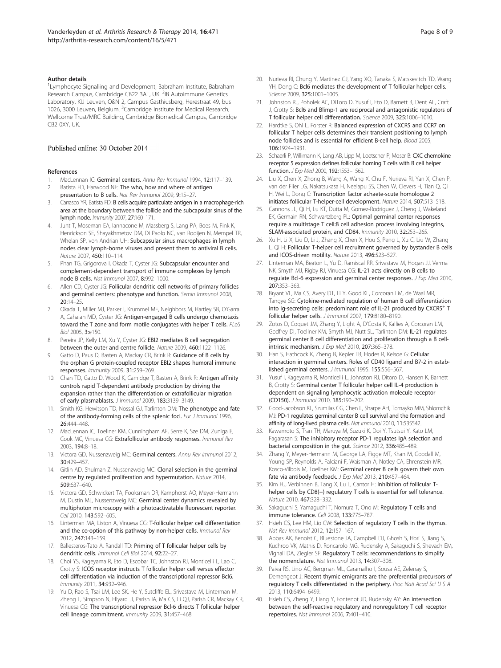#### <span id="page-7-0"></span>Author details

<sup>1</sup> Lymphocyte Signalling and Development, Babraham Institute, Babraham Research Campus, Cambridge CB22 3AT, UK. <sup>2</sup>IB Autoimmune Genetics Laboratory, KU Leuven, O&N 2, Campus Gasthiusberg, Herestraat 49, bus 1026, 3000 Leuven, Belgium. <sup>3</sup> Cambridge Institute for Medical Research, Wellcome Trust/MRC Building, Cambridge Biomedical Campus, Cambridge CB2 0XY, UK.

#### Published online: 30 October 2014

#### References

- 1. MacLennan IC: Germinal centers. Annu Rev Immunol 1994, 12:117-139.
- 2. Batista FD, Harwood NE: The who, how and where of antigen presentation to B cells. Nat Rev Immunol 2009, 9:15–27.
- Carrasco YR, Batista FD: B cells acquire particulate antigen in a macrophage-rich area at the boundary between the follicle and the subcapsular sinus of the lymph node. Immunity 2007, 27:160–171.
- Junt T, Moseman EA, Iannacone M, Massberg S, Lang PA, Boes M, Fink K, Henrickson SE, Shayakhmetov DM, Di Paolo NC, van Rooijen N, Mempel TR, Whelan SP, von Andrian UH: Subcapsular sinus macrophages in lymph nodes clear lymph-borne viruses and present them to antiviral B cells. Nature 2007, 450:110–114.
- 5. Phan TG, Grigorova I, Okada T, Cyster JG: Subcapsular encounter and complement-dependent transport of immune complexes by lymph node B cells. Nat Immunol 2007, 8:992–1000.
- 6. Allen CD, Cyster JG: Follicular dendritic cell networks of primary follicles and germinal centers: phenotype and function. Semin Immunol 2008, 20:14–25.
- 7. Okada T, Miller MJ, Parker I, Krummel MF, Neighbors M, Hartley SB, O'Garra A, Cahalan MD, Cyster JG: Antigen-engaged B cells undergo chemotaxis toward the T zone and form motile conjugates with helper T cells. PLoS Biol 2005, 3:e150.
- 8. Pereira JP, Kelly LM, Xu Y, Cyster JG: EBI2 mediates B cell segregation between the outer and centre follicle. Nature 2009, 460:1122–1126.
- 9. Gatto D, Paus D, Basten A, Mackay CR, Brink R: Guidance of B cells by the orphan G protein-coupled receptor EBI2 shapes humoral immune responses. Immunity 2009, 31:259–269.
- 10. Chan TD, Gatto D, Wood K, Camidge T, Basten A, Brink R: Antigen affinity controls rapid T-dependent antibody production by driving the expansion rather than the differentiation or extrafollicular migration of early plasmablasts. J Immunol 2009, 183:3139-3149.
- 11. Smith KG, Hewitson TD, Nossal GJ, Tarlinton DM: The phenotype and fate of the antibody-forming cells of the splenic foci. Eur J Immunol 1996, 26:444–448.
- 12. MacLennan IC, Toellner KM, Cunningham AF, Serre K, Sze DM, Zuniga E, Cook MC, Vinuesa CG: Extrafollicular antibody responses. Immunol Rev 2003, 194:8–18.
- 13. Victora GD, Nussenzweig MC: Germinal centers. Annu Rev Immunol 2012, 30:429–457.
- 14. Gitlin AD, Shulman Z, Nussenzweig MC: Clonal selection in the germinal centre by regulated proliferation and hypermutation. Nature 2014, 509:637–640.
- 15. Victora GD, Schwickert TA, Fooksman DR, Kamphorst AO, Meyer-Hermann M, Dustin ML, Nussenzweig MC: Germinal center dynamics revealed by multiphoton microscopy with a photoactivatable fluorescent reporter. Cell 2010, 143:592–605.
- 16. Linterman MA, Liston A, Vinuesa CG: T-follicular helper cell differentiation and the co-option of this pathway by non-helper cells. Immunol Rev 2012, 247:143–159.
- 17. Ballesteros-Tato A, Randall TD: Priming of T follicular helper cells by dendritic cells. Immunol Cell Biol 2014, 92:22–27.
- 18. Choi YS, Kageyama R, Eto D, Escobar TC, Johnston RJ, Monticelli L, Lao C, Crotty S: ICOS receptor instructs T follicular helper cell versus effector cell differentiation via induction of the transcriptional repressor Bcl6. Immunity 2011, 34:932–946.
- 19. Yu D, Rao S, Tsai LM, Lee SK, He Y, Sutcliffe EL, Srivastava M, Linterman M, Zheng L, Simpson N, Ellyard JI, Parish IA, Ma CS, Li QJ, Parish CR, Mackay CR, Vinuesa CG: The transcriptional repressor Bcl-6 directs T follicular helper cell lineage commitment. Immunity 2009, 31:457–468.
- 20. Nurieva RI, Chung Y, Martinez GJ, Yang XO, Tanaka S, Matskevitch TD, Wang YH, Dong C: Bcl6 mediates the development of T follicular helper cells. Science 2009, 325:1001–1005.
- 21. Johnston RJ, Poholek AC, DiToro D, Yusuf I, Eto D, Barnett B, Dent AL, Craft J, Crotty S: Bcl6 and Blimp-1 are reciprocal and antagonistic regulators of T follicular helper cell differentiation. Science 2009, 325:1006–1010.
- 22. Hardtke S, Ohl L, Forster R: Balanced expression of CXCR5 and CCR7 on follicular T helper cells determines their transient positioning to lymph node follicles and is essential for efficient B-cell help. Blood 2005, 106:1924–1931.
- 23. Schaerli P, Willimann K, Lang AB, Lipp M, Loetscher P, Moser B: CXC chemokine receptor 5 expression defines follicular homing T cells with B cell helper function. J Exp Med 2000, 192:1553–1562.
- 24. Liu X, Chen X, Zhong B, Wang A, Wang X, Chu F, Nurieva RI, Yan X, Chen P, van der Flier LG, Nakatsukasa H, Neelapu SS, Chen W, Clevers H, Tian Q, Qi H, Wei L, Dong C: Transcription factor achaete-scute homologue 2 initiates follicular T-helper-cell development. Nature 2014, 507:513–518.
- Cannons JL, Qi H, Lu KT, Dutta M, Gomez-Rodriguez J, Cheng J, Wakeland EK, Germain RN, Schwartzberg PL: Optimal germinal center responses require a multistage T cell:B cell adhesion process involving integrins, SLAM-associated protein, and CD84. Immunity 2010, 32:253–265.
- 26. Xu H, Li X, Liu D, Li J, Zhang X, Chen X, Hou S, Peng L, Xu C, Liu W, Zhang L, Qi H: Follicular T-helper cell recruitment governed by bystander B cells and ICOS-driven motility. Nature 2013, 496:523–527.
- 27. Linterman MA, Beaton L, Yu D, Ramiscal RR, Srivastava M, Hogan JJ, Verma NK, Smyth MJ, Rigby RJ, Vinuesa CG: IL-21 acts directly on B cells to regulate Bcl-6 expression and germinal center responses. J Exp Med 2010, 207:353–363.
- 28. Bryant VL, Ma CS, Avery DT, Li Y, Good KL, Corcoran LM, de Waal MR, Tangye SG: Cytokine-mediated regulation of human B cell differentiation into Ig-secreting cells: predominant role of IL-21 produced by CXCR5<sup>+</sup> T follicular helper cells. J Immunol 2007, 179:8180–8190.
- 29. Zotos D, Coquet JM, Zhang Y, Light A, D'Costa K, Kallies A, Corcoran LM, Godfrey DI, Toellner KM, Smyth MJ, Nutt SL, Tarlinton DM: IL-21 regulates germinal center B cell differentiation and proliferation through a B cellintrinsic mechanism. J Exp Med 2010, 207:365–378.
- 30. Han S, Hathcock K, Zheng B, Kepler TB, Hodes R, Kelsoe G: Cellular interaction in germinal centers. Roles of CD40 ligand and B7-2 in established germinal centers. J Immunol 1995, 155:556–567.
- 31. Yusuf I, Kageyama R, Monticelli L, Johnston RJ, Ditoro D, Hansen K, Barnett B, Crotty S: Germinal center T follicular helper cell IL-4 production is dependent on signaling lymphocytic activation molecule receptor (CD150). J Immunol 2010, 185:190–202.
- 32. Good-Jacobson KL, Szumilas CG, Chen L, Sharpe AH, Tomayko MM, Shlomchik MJ: PD-1 regulates germinal center B cell survival and the formation and affinity of long-lived plasma cells. Nat Immunol 2010, 11:535542.
- 33. Kawamoto S, Tran TH, Maruya M, Suzuki K, Doi Y, Tsutsui Y, Kato LM, Fagarasan S: The inhibitory receptor PD-1 regulates IgA selection and bacterial composition in the gut. Science 2012, 336:485–489.
- Zhang Y, Meyer-Hermann M, George LA, Figge MT, Khan M, Goodall M, Young SP, Reynolds A, Falciani F, Waisman A, Notley CA, Ehrenstein MR, Kosco-Vilbois M, Toellner KM: Germinal center B cells govern their own fate via antibody feedback. J Exp Med 2013, 210:457-464.
- 35. Kim HJ, Verbinnen B, Tang X, Lu L, Cantor H: Inhibition of follicular Thelper cells by CD8(+) regulatory T cells is essential for self tolerance. Nature 2010, 467:328–332.
- 36. Sakaguchi S, Yamaguchi T, Nomura T, Ono M: Regulatory T cells and immune tolerance. Cell 2008, 133:775–787.
- 37. Hsieh CS, Lee HM, Lio CW: Selection of regulatory T cells in the thymus. Nat Rev Immunol 2012, 12:157–167.
- 38. Abbas AK, Benoist C, Bluestone JA, Campbell DJ, Ghosh S, Hori S, Jiang S, Kuchroo VK, Mathis D, Roncarolo MG, Rudensky A, Sakaguchi S, Shevach EM, Vignali DA, Ziegler SF: Regulatory T cells: recommendations to simplify the nomenclature. Nat Immunol 2013, 14:307–308.
- 39. Paiva RS, Lino AC, Bergman ML, Caramalho I, Sousa AE, Zelenay S, Demengeot J: Recent thymic emigrants are the preferential precursors of regulatory T cells differentiated in the periphery. Proc Natl Acad Sci U S A 2013, 110:6494–6499.
- 40. Hsieh CS, Zheng Y, Liang Y, Fontenot JD, Rudensky AY: An intersection between the self-reactive regulatory and nonregulatory T cell receptor repertoires. Nat Immunol 2006, 7:401–410.